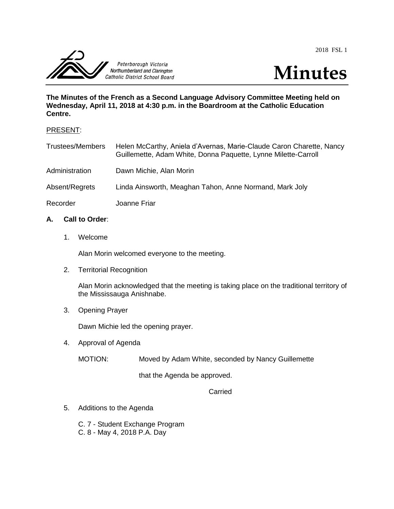2018 FSL 1





**The Minutes of the French as a Second Language Advisory Committee Meeting held on Wednesday, April 11, 2018 at 4:30 p.m. in the Boardroom at the Catholic Education Centre.**

## PRESENT:

| <b>Trustees/Members</b> | Helen McCarthy, Aniela d'Avernas, Marie-Claude Caron Charette, Nancy<br>Guillemette, Adam White, Donna Paquette, Lynne Milette-Carroll |
|-------------------------|----------------------------------------------------------------------------------------------------------------------------------------|
| Administration          | Dawn Michie, Alan Morin                                                                                                                |
| Absent/Regrets          | Linda Ainsworth, Meaghan Tahon, Anne Normand, Mark Joly                                                                                |
| Recorder                | Joanne Friar                                                                                                                           |

# **A. Call to Order**:

1. Welcome

Alan Morin welcomed everyone to the meeting.

2. Territorial Recognition

Alan Morin acknowledged that the meeting is taking place on the traditional territory of the Mississauga Anishnabe.

3. Opening Prayer

Dawn Michie led the opening prayer.

4. Approval of Agenda

MOTION: Moved by Adam White, seconded by Nancy Guillemette

that the Agenda be approved.

Carried

- 5. Additions to the Agenda
	- C. 7 Student Exchange Program
	- C. 8 May 4, 2018 P.A. Day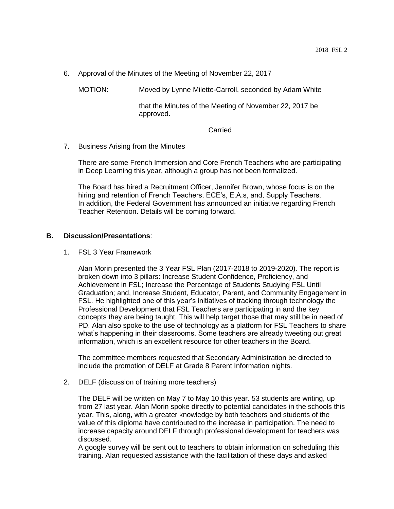6. Approval of the Minutes of the Meeting of November 22, 2017

MOTION: Moved by Lynne Milette-Carroll, seconded by Adam White

that the Minutes of the Meeting of November 22, 2017 be approved.

#### Carried

7. Business Arising from the Minutes

There are some French Immersion and Core French Teachers who are participating in Deep Learning this year, although a group has not been formalized.

The Board has hired a Recruitment Officer, Jennifer Brown, whose focus is on the hiring and retention of French Teachers, ECE's, E.A.s, and, Supply Teachers. In addition, the Federal Government has announced an initiative regarding French Teacher Retention. Details will be coming forward.

### **B. Discussion/Presentations**:

1. FSL 3 Year Framework

Alan Morin presented the 3 Year FSL Plan (2017-2018 to 2019-2020). The report is broken down into 3 pillars: Increase Student Confidence, Proficiency, and Achievement in FSL; Increase the Percentage of Students Studying FSL Until Graduation; and, Increase Student, Educator, Parent, and Community Engagement in FSL. He highlighted one of this year's initiatives of tracking through technology the Professional Development that FSL Teachers are participating in and the key concepts they are being taught. This will help target those that may still be in need of PD. Alan also spoke to the use of technology as a platform for FSL Teachers to share what's happening in their classrooms. Some teachers are already tweeting out great information, which is an excellent resource for other teachers in the Board.

The committee members requested that Secondary Administration be directed to include the promotion of DELF at Grade 8 Parent Information nights.

2. DELF (discussion of training more teachers)

The DELF will be written on May 7 to May 10 this year. 53 students are writing, up from 27 last year. Alan Morin spoke directly to potential candidates in the schools this year. This, along, with a greater knowledge by both teachers and students of the value of this diploma have contributed to the increase in participation. The need to increase capacity around DELF through professional development for teachers was discussed.

A google survey will be sent out to teachers to obtain information on scheduling this training. Alan requested assistance with the facilitation of these days and asked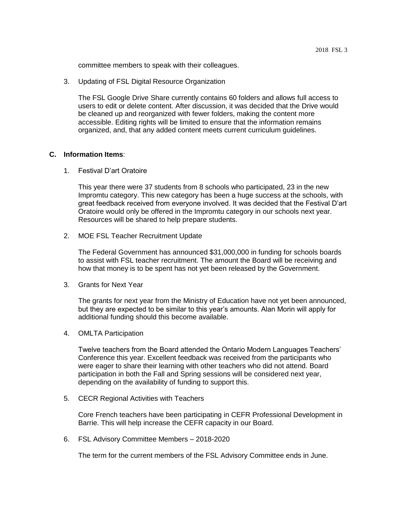committee members to speak with their colleagues.

3. Updating of FSL Digital Resource Organization

The FSL Google Drive Share currently contains 60 folders and allows full access to users to edit or delete content. After discussion, it was decided that the Drive would be cleaned up and reorganized with fewer folders, making the content more accessible. Editing rights will be limited to ensure that the information remains organized, and, that any added content meets current curriculum guidelines.

### **C. Information Items**:

1. Festival D'art Oratoire

This year there were 37 students from 8 schools who participated, 23 in the new Impromtu category. This new category has been a huge success at the schools, with great feedback received from everyone involved. It was decided that the Festival D'art Oratoire would only be offered in the Impromtu category in our schools next year. Resources will be shared to help prepare students.

2. MOE FSL Teacher Recruitment Update

The Federal Government has announced \$31,000,000 in funding for schools boards to assist with FSL teacher recruitment. The amount the Board will be receiving and how that money is to be spent has not yet been released by the Government.

3. Grants for Next Year

The grants for next year from the Ministry of Education have not yet been announced, but they are expected to be similar to this year's amounts. Alan Morin will apply for additional funding should this become available.

4. OMLTA Participation

Twelve teachers from the Board attended the Ontario Modern Languages Teachers' Conference this year. Excellent feedback was received from the participants who were eager to share their learning with other teachers who did not attend. Board participation in both the Fall and Spring sessions will be considered next year, depending on the availability of funding to support this.

5. CECR Regional Activities with Teachers

Core French teachers have been participating in CEFR Professional Development in Barrie. This will help increase the CEFR capacity in our Board.

6. FSL Advisory Committee Members – 2018-2020

The term for the current members of the FSL Advisory Committee ends in June.